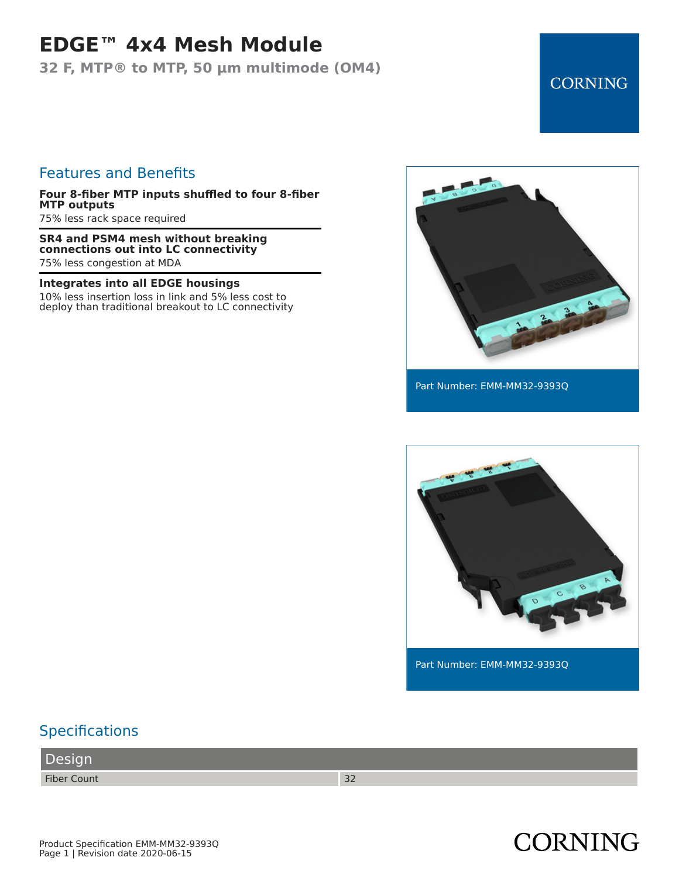### **EDGE™ 4x4 Mesh Module**

**32 F, MTP® to MTP, 50 µm multimode (OM4)**

#### Features and Benefits

**Four 8-fiber MTP inputs shuffled to four 8-fiber MTP outputs**

75% less rack space required

**SR4 and PSM4 mesh without breaking connections out into LC connectivity** 75% less congestion at MDA

**Integrates into all EDGE housings**

10% less insertion loss in link and 5% less cost to deploy than traditional breakout to LC connectivity



**CORNING** 

Part Number: EMM-MM32-9393Q



Part Number: EMM-MM32-9393Q

### **Specifications**

Design

Fiber Count 32

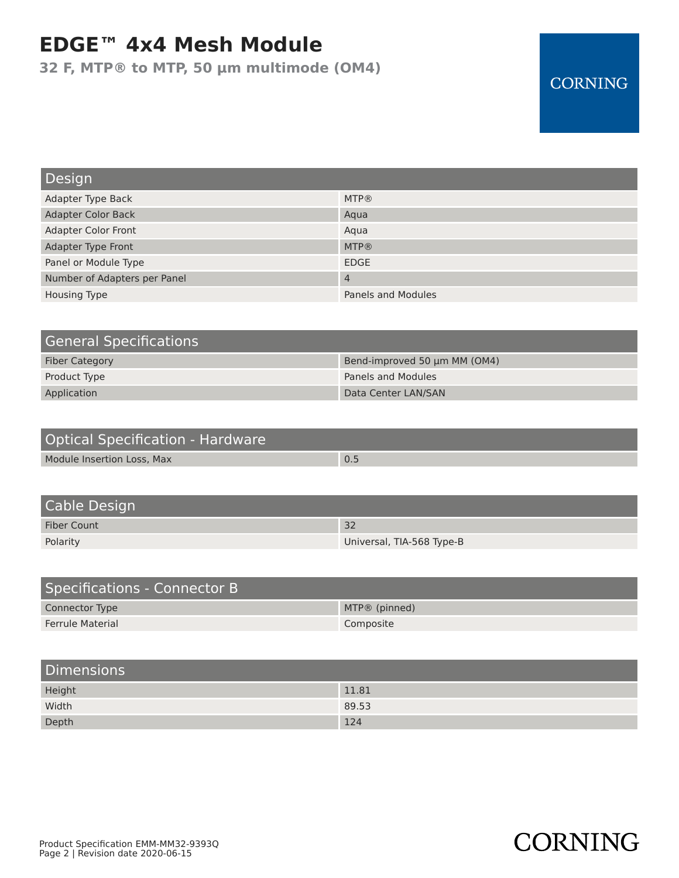# **EDGE™ 4x4 Mesh Module**

**32 F, MTP® to MTP, 50 µm multimode (OM4)**

### **CORNING**

**CORNING** 

| Design                       |                    |
|------------------------------|--------------------|
| Adapter Type Back            | <b>MTP®</b>        |
| <b>Adapter Color Back</b>    | Aqua               |
| <b>Adapter Color Front</b>   | Aqua               |
| Adapter Type Front           | <b>MTP®</b>        |
| Panel or Module Type         | <b>EDGE</b>        |
| Number of Adapters per Panel | $\overline{4}$     |
| <b>Housing Type</b>          | Panels and Modules |

| <b>General Specifications</b> |                              |
|-------------------------------|------------------------------|
| <b>Fiber Category</b>         | Bend-improved 50 um MM (OM4) |
| Product Type                  | <b>Panels and Modules</b>    |
| Application                   | Data Center LAN/SAN          |

| Optical Specification - Hardware |     |
|----------------------------------|-----|
| Module Insertion Loss, Max       | 0.5 |

| Cable Design |                           |
|--------------|---------------------------|
| Fiber Count  | 32                        |
| Polarity     | Universal, TIA-568 Type-B |

| Specifications - Connector B |                 |
|------------------------------|-----------------|
| Connector Type               | $MTP@$ (pinned) |
| <b>Ferrule Material</b>      | Composite       |

| <b>Dimensions</b> |       |
|-------------------|-------|
| Height            | 11.81 |
| Width             | 89.53 |
| Depth             | 124   |